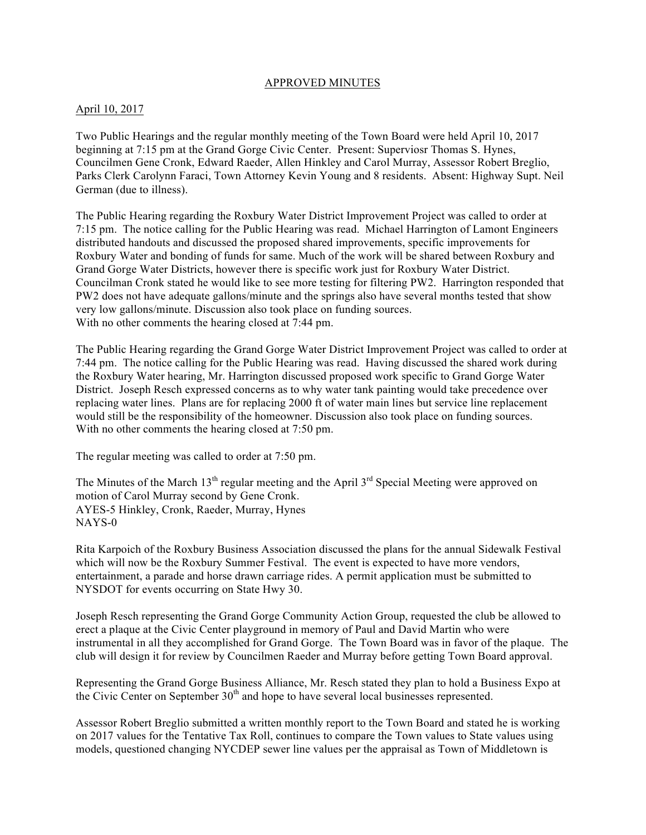### APPROVED MINUTES

### April 10, 2017

Two Public Hearings and the regular monthly meeting of the Town Board were held April 10, 2017 beginning at 7:15 pm at the Grand Gorge Civic Center. Present: Superviosr Thomas S. Hynes, Councilmen Gene Cronk, Edward Raeder, Allen Hinkley and Carol Murray, Assessor Robert Breglio, Parks Clerk Carolynn Faraci, Town Attorney Kevin Young and 8 residents. Absent: Highway Supt. Neil German (due to illness).

The Public Hearing regarding the Roxbury Water District Improvement Project was called to order at 7:15 pm. The notice calling for the Public Hearing was read. Michael Harrington of Lamont Engineers distributed handouts and discussed the proposed shared improvements, specific improvements for Roxbury Water and bonding of funds for same. Much of the work will be shared between Roxbury and Grand Gorge Water Districts, however there is specific work just for Roxbury Water District. Councilman Cronk stated he would like to see more testing for filtering PW2. Harrington responded that PW2 does not have adequate gallons/minute and the springs also have several months tested that show very low gallons/minute. Discussion also took place on funding sources. With no other comments the hearing closed at 7:44 pm.

The Public Hearing regarding the Grand Gorge Water District Improvement Project was called to order at 7:44 pm. The notice calling for the Public Hearing was read. Having discussed the shared work during the Roxbury Water hearing, Mr. Harrington discussed proposed work specific to Grand Gorge Water District. Joseph Resch expressed concerns as to why water tank painting would take precedence over replacing water lines. Plans are for replacing 2000 ft of water main lines but service line replacement would still be the responsibility of the homeowner. Discussion also took place on funding sources. With no other comments the hearing closed at 7:50 pm.

The regular meeting was called to order at 7:50 pm.

The Minutes of the March  $13<sup>th</sup>$  regular meeting and the April  $3<sup>rd</sup>$  Special Meeting were approved on motion of Carol Murray second by Gene Cronk. AYES-5 Hinkley, Cronk, Raeder, Murray, Hynes NAYS-0

Rita Karpoich of the Roxbury Business Association discussed the plans for the annual Sidewalk Festival which will now be the Roxbury Summer Festival. The event is expected to have more vendors, entertainment, a parade and horse drawn carriage rides. A permit application must be submitted to NYSDOT for events occurring on State Hwy 30.

Joseph Resch representing the Grand Gorge Community Action Group, requested the club be allowed to erect a plaque at the Civic Center playground in memory of Paul and David Martin who were instrumental in all they accomplished for Grand Gorge. The Town Board was in favor of the plaque. The club will design it for review by Councilmen Raeder and Murray before getting Town Board approval.

Representing the Grand Gorge Business Alliance, Mr. Resch stated they plan to hold a Business Expo at the Civic Center on September  $30<sup>th</sup>$  and hope to have several local businesses represented.

Assessor Robert Breglio submitted a written monthly report to the Town Board and stated he is working on 2017 values for the Tentative Tax Roll, continues to compare the Town values to State values using models, questioned changing NYCDEP sewer line values per the appraisal as Town of Middletown is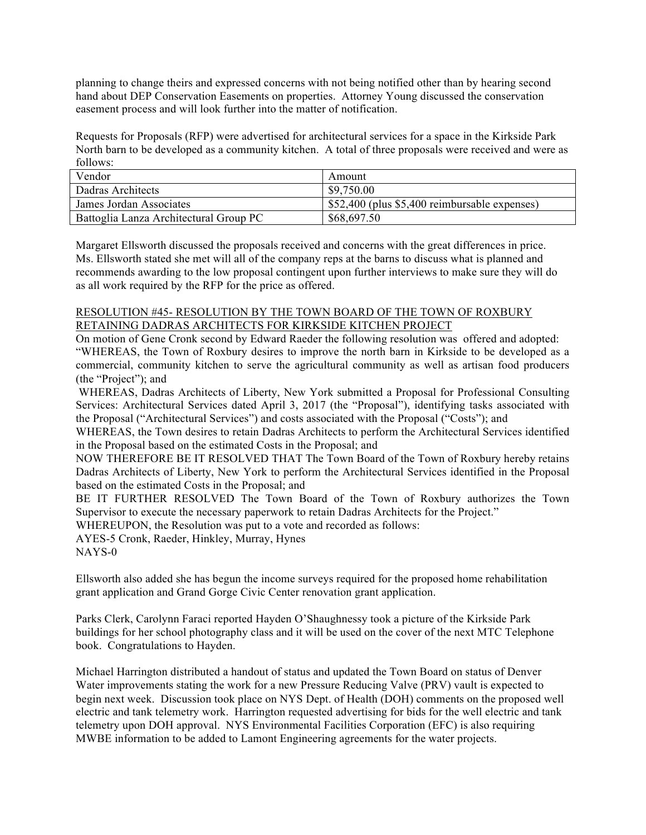planning to change theirs and expressed concerns with not being notified other than by hearing second hand about DEP Conservation Easements on properties. Attorney Young discussed the conservation easement process and will look further into the matter of notification.

Requests for Proposals (RFP) were advertised for architectural services for a space in the Kirkside Park North barn to be developed as a community kitchen. A total of three proposals were received and were as follows:

| Vendor                                 | Amount                                        |
|----------------------------------------|-----------------------------------------------|
| Dadras Architects                      | \$9,750.00                                    |
| James Jordan Associates                | \$52,400 (plus \$5,400 reimbursable expenses) |
| Battoglia Lanza Architectural Group PC | \$68,697.50                                   |

Margaret Ellsworth discussed the proposals received and concerns with the great differences in price. Ms. Ellsworth stated she met will all of the company reps at the barns to discuss what is planned and recommends awarding to the low proposal contingent upon further interviews to make sure they will do as all work required by the RFP for the price as offered.

## RESOLUTION #45- RESOLUTION BY THE TOWN BOARD OF THE TOWN OF ROXBURY RETAINING DADRAS ARCHITECTS FOR KIRKSIDE KITCHEN PROJECT

On motion of Gene Cronk second by Edward Raeder the following resolution was offered and adopted: "WHEREAS, the Town of Roxbury desires to improve the north barn in Kirkside to be developed as a commercial, community kitchen to serve the agricultural community as well as artisan food producers (the "Project"); and

WHEREAS, Dadras Architects of Liberty, New York submitted a Proposal for Professional Consulting Services: Architectural Services dated April 3, 2017 (the "Proposal"), identifying tasks associated with the Proposal ("Architectural Services") and costs associated with the Proposal ("Costs"); and

WHEREAS, the Town desires to retain Dadras Architects to perform the Architectural Services identified in the Proposal based on the estimated Costs in the Proposal; and

NOW THEREFORE BE IT RESOLVED THAT The Town Board of the Town of Roxbury hereby retains Dadras Architects of Liberty, New York to perform the Architectural Services identified in the Proposal based on the estimated Costs in the Proposal; and

BE IT FURTHER RESOLVED The Town Board of the Town of Roxbury authorizes the Town Supervisor to execute the necessary paperwork to retain Dadras Architects for the Project."

WHEREUPON, the Resolution was put to a vote and recorded as follows:

AYES-5 Cronk, Raeder, Hinkley, Murray, Hynes

NAYS-0

Ellsworth also added she has begun the income surveys required for the proposed home rehabilitation grant application and Grand Gorge Civic Center renovation grant application.

Parks Clerk, Carolynn Faraci reported Hayden O'Shaughnessy took a picture of the Kirkside Park buildings for her school photography class and it will be used on the cover of the next MTC Telephone book. Congratulations to Hayden.

Michael Harrington distributed a handout of status and updated the Town Board on status of Denver Water improvements stating the work for a new Pressure Reducing Valve (PRV) vault is expected to begin next week. Discussion took place on NYS Dept. of Health (DOH) comments on the proposed well electric and tank telemetry work. Harrington requested advertising for bids for the well electric and tank telemetry upon DOH approval. NYS Environmental Facilities Corporation (EFC) is also requiring MWBE information to be added to Lamont Engineering agreements for the water projects.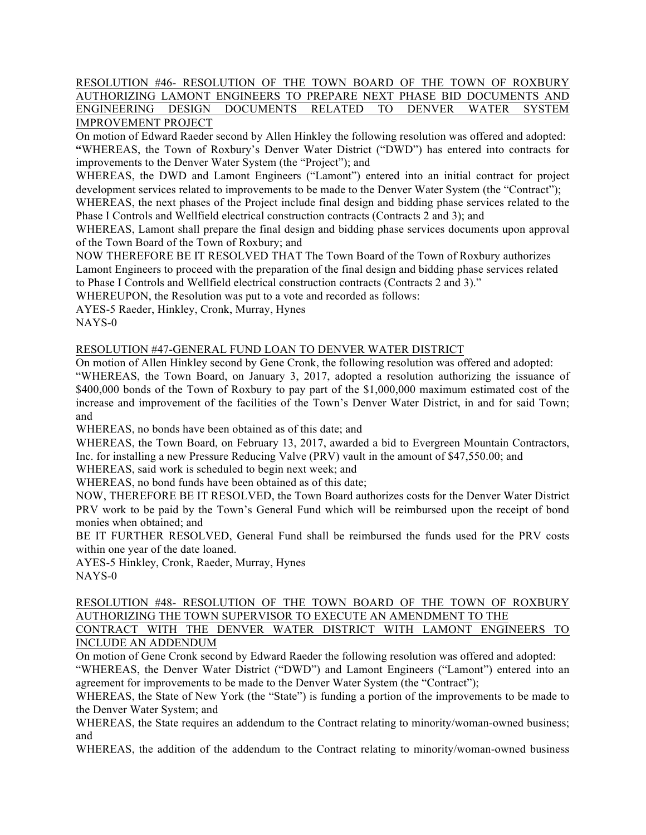## RESOLUTION #46- RESOLUTION OF THE TOWN BOARD OF THE TOWN OF ROXBURY AUTHORIZING LAMONT ENGINEERS TO PREPARE NEXT PHASE BID DOCUMENTS AND ENGINEERING DESIGN DOCUMENTS RELATED TO DENVER WATER SYSTEM IMPROVEMENT PROJECT

On motion of Edward Raeder second by Allen Hinkley the following resolution was offered and adopted: **"**WHEREAS, the Town of Roxbury's Denver Water District ("DWD") has entered into contracts for improvements to the Denver Water System (the "Project"); and

WHEREAS, the DWD and Lamont Engineers ("Lamont") entered into an initial contract for project development services related to improvements to be made to the Denver Water System (the "Contract");

WHEREAS, the next phases of the Project include final design and bidding phase services related to the Phase I Controls and Wellfield electrical construction contracts (Contracts 2 and 3); and

WHEREAS, Lamont shall prepare the final design and bidding phase services documents upon approval of the Town Board of the Town of Roxbury; and

NOW THEREFORE BE IT RESOLVED THAT The Town Board of the Town of Roxbury authorizes Lamont Engineers to proceed with the preparation of the final design and bidding phase services related to Phase I Controls and Wellfield electrical construction contracts (Contracts 2 and 3)."

WHEREUPON, the Resolution was put to a vote and recorded as follows:

AYES-5 Raeder, Hinkley, Cronk, Murray, Hynes

NAYS-0

# RESOLUTION #47-GENERAL FUND LOAN TO DENVER WATER DISTRICT

On motion of Allen Hinkley second by Gene Cronk, the following resolution was offered and adopted: "WHEREAS, the Town Board, on January 3, 2017, adopted a resolution authorizing the issuance of \$400,000 bonds of the Town of Roxbury to pay part of the \$1,000,000 maximum estimated cost of the increase and improvement of the facilities of the Town's Denver Water District, in and for said Town; and

WHEREAS, no bonds have been obtained as of this date; and

WHEREAS, the Town Board, on February 13, 2017, awarded a bid to Evergreen Mountain Contractors, Inc. for installing a new Pressure Reducing Valve (PRV) vault in the amount of \$47,550.00; and

WHEREAS, said work is scheduled to begin next week; and

WHEREAS, no bond funds have been obtained as of this date;

NOW, THEREFORE BE IT RESOLVED, the Town Board authorizes costs for the Denver Water District PRV work to be paid by the Town's General Fund which will be reimbursed upon the receipt of bond monies when obtained; and

BE IT FURTHER RESOLVED, General Fund shall be reimbursed the funds used for the PRV costs within one year of the date loaned.

AYES-5 Hinkley, Cronk, Raeder, Murray, Hynes NAYS-0

# RESOLUTION #48- RESOLUTION OF THE TOWN BOARD OF THE TOWN OF ROXBURY AUTHORIZING THE TOWN SUPERVISOR TO EXECUTE AN AMENDMENT TO THE

CONTRACT WITH THE DENVER WATER DISTRICT WITH LAMONT ENGINEERS TO INCLUDE AN ADDENDUM

On motion of Gene Cronk second by Edward Raeder the following resolution was offered and adopted:

"WHEREAS, the Denver Water District ("DWD") and Lamont Engineers ("Lamont") entered into an agreement for improvements to be made to the Denver Water System (the "Contract");

WHEREAS, the State of New York (the "State") is funding a portion of the improvements to be made to the Denver Water System; and

WHEREAS, the State requires an addendum to the Contract relating to minority/woman-owned business; and

WHEREAS, the addition of the addendum to the Contract relating to minority/woman-owned business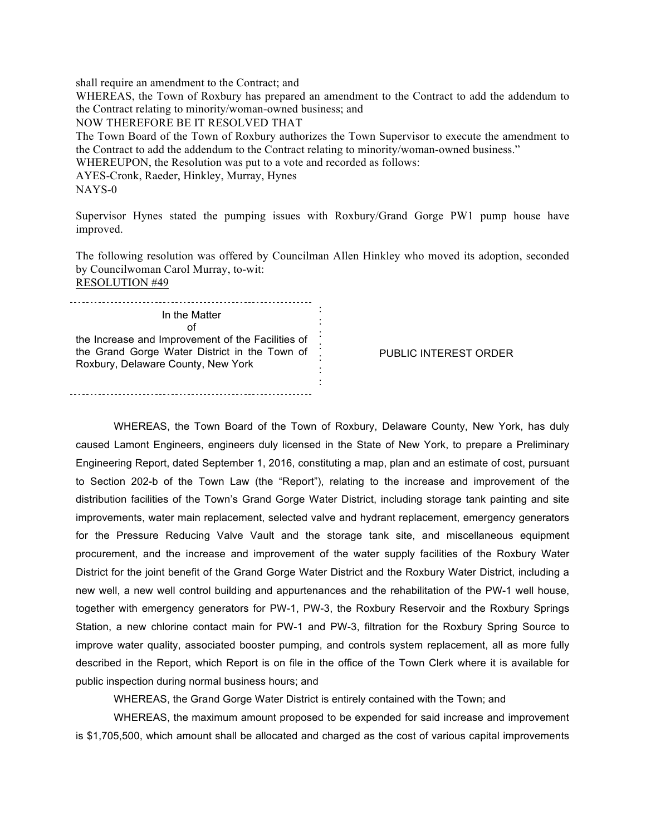shall require an amendment to the Contract; and

WHEREAS, the Town of Roxbury has prepared an amendment to the Contract to add the addendum to the Contract relating to minority/woman-owned business; and

NOW THEREFORE BE IT RESOLVED THAT

The Town Board of the Town of Roxbury authorizes the Town Supervisor to execute the amendment to the Contract to add the addendum to the Contract relating to minority/woman-owned business."

WHEREUPON, the Resolution was put to a vote and recorded as follows:

AYES-Cronk, Raeder, Hinkley, Murray, Hynes

NAYS-0

Supervisor Hynes stated the pumping issues with Roxbury/Grand Gorge PW1 pump house have improved.

The following resolution was offered by Councilman Allen Hinkley who moved its adoption, seconded by Councilwoman Carol Murray, to-wit: RESOLUTION #49

: In the Matter : of : the Increase and Improvement of the Facilities of : the Grand Gorge Water District in the Town of : Roxbury, Delaware County, New York : :

PUBLIC INTEREST ORDER

WHEREAS, the Town Board of the Town of Roxbury, Delaware County, New York, has duly caused Lamont Engineers, engineers duly licensed in the State of New York, to prepare a Preliminary Engineering Report, dated September 1, 2016, constituting a map, plan and an estimate of cost, pursuant to Section 202-b of the Town Law (the "Report"), relating to the increase and improvement of the distribution facilities of the Town's Grand Gorge Water District, including storage tank painting and site improvements, water main replacement, selected valve and hydrant replacement, emergency generators for the Pressure Reducing Valve Vault and the storage tank site, and miscellaneous equipment procurement, and the increase and improvement of the water supply facilities of the Roxbury Water District for the joint benefit of the Grand Gorge Water District and the Roxbury Water District, including a new well, a new well control building and appurtenances and the rehabilitation of the PW-1 well house, together with emergency generators for PW-1, PW-3, the Roxbury Reservoir and the Roxbury Springs Station, a new chlorine contact main for PW-1 and PW-3, filtration for the Roxbury Spring Source to improve water quality, associated booster pumping, and controls system replacement, all as more fully described in the Report, which Report is on file in the office of the Town Clerk where it is available for public inspection during normal business hours; and

WHEREAS, the Grand Gorge Water District is entirely contained with the Town; and

WHEREAS, the maximum amount proposed to be expended for said increase and improvement is \$1,705,500, which amount shall be allocated and charged as the cost of various capital improvements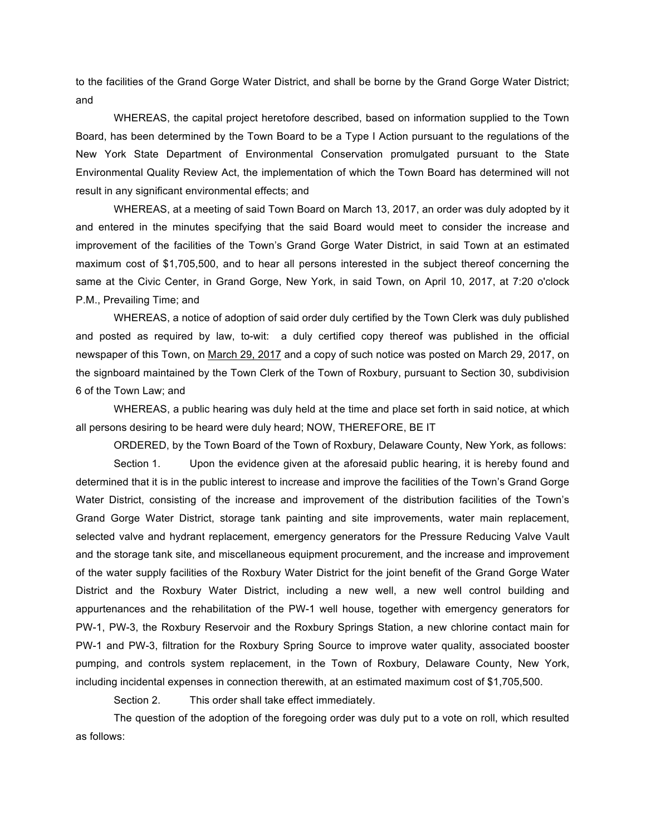to the facilities of the Grand Gorge Water District, and shall be borne by the Grand Gorge Water District; and

WHEREAS, the capital project heretofore described, based on information supplied to the Town Board, has been determined by the Town Board to be a Type I Action pursuant to the regulations of the New York State Department of Environmental Conservation promulgated pursuant to the State Environmental Quality Review Act, the implementation of which the Town Board has determined will not result in any significant environmental effects; and

WHEREAS, at a meeting of said Town Board on March 13, 2017, an order was duly adopted by it and entered in the minutes specifying that the said Board would meet to consider the increase and improvement of the facilities of the Town's Grand Gorge Water District, in said Town at an estimated maximum cost of \$1,705,500, and to hear all persons interested in the subject thereof concerning the same at the Civic Center, in Grand Gorge, New York, in said Town, on April 10, 2017, at 7:20 o'clock P.M., Prevailing Time; and

WHEREAS, a notice of adoption of said order duly certified by the Town Clerk was duly published and posted as required by law, to-wit: a duly certified copy thereof was published in the official newspaper of this Town, on March 29, 2017 and a copy of such notice was posted on March 29, 2017, on the signboard maintained by the Town Clerk of the Town of Roxbury, pursuant to Section 30, subdivision 6 of the Town Law; and

WHEREAS, a public hearing was duly held at the time and place set forth in said notice, at which all persons desiring to be heard were duly heard; NOW, THEREFORE, BE IT

ORDERED, by the Town Board of the Town of Roxbury, Delaware County, New York, as follows:

Section 1. Upon the evidence given at the aforesaid public hearing, it is hereby found and determined that it is in the public interest to increase and improve the facilities of the Town's Grand Gorge Water District, consisting of the increase and improvement of the distribution facilities of the Town's Grand Gorge Water District, storage tank painting and site improvements, water main replacement, selected valve and hydrant replacement, emergency generators for the Pressure Reducing Valve Vault and the storage tank site, and miscellaneous equipment procurement, and the increase and improvement of the water supply facilities of the Roxbury Water District for the joint benefit of the Grand Gorge Water District and the Roxbury Water District, including a new well, a new well control building and appurtenances and the rehabilitation of the PW-1 well house, together with emergency generators for PW-1, PW-3, the Roxbury Reservoir and the Roxbury Springs Station, a new chlorine contact main for PW-1 and PW-3, filtration for the Roxbury Spring Source to improve water quality, associated booster pumping, and controls system replacement, in the Town of Roxbury, Delaware County, New York, including incidental expenses in connection therewith, at an estimated maximum cost of \$1,705,500.

Section 2. This order shall take effect immediately.

The question of the adoption of the foregoing order was duly put to a vote on roll, which resulted as follows: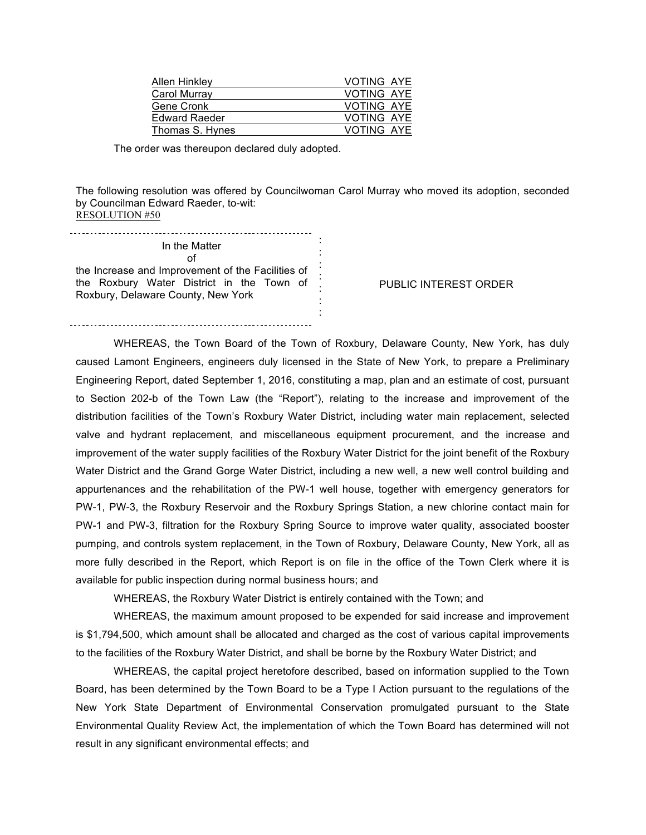| <b>Allen Hinkley</b> | <b>VOTING AYE</b> |
|----------------------|-------------------|
| Carol Murray         | <b>VOTING AYE</b> |
| Gene Cronk           | <b>VOTING AYE</b> |
| <b>Edward Raeder</b> | <b>VOTING AYE</b> |
| Thomas S. Hynes      | <b>VOTING AYE</b> |
|                      |                   |

The order was thereupon declared duly adopted.

The following resolution was offered by Councilwoman Carol Murray who moved its adoption, seconded by Councilman Edward Raeder, to-wit: RESOLUTION #50

: In the Matter : of : the Increase and Improvement of the Facilities of the increase and improvement of the Tacillities of the Roxbury Water District in the Town of Roxbury, Delaware County, New York : :

: PUBLIC INTEREST ORDER

WHEREAS, the Town Board of the Town of Roxbury, Delaware County, New York, has duly caused Lamont Engineers, engineers duly licensed in the State of New York, to prepare a Preliminary Engineering Report, dated September 1, 2016, constituting a map, plan and an estimate of cost, pursuant to Section 202-b of the Town Law (the "Report"), relating to the increase and improvement of the distribution facilities of the Town's Roxbury Water District, including water main replacement, selected valve and hydrant replacement, and miscellaneous equipment procurement, and the increase and improvement of the water supply facilities of the Roxbury Water District for the joint benefit of the Roxbury Water District and the Grand Gorge Water District, including a new well, a new well control building and appurtenances and the rehabilitation of the PW-1 well house, together with emergency generators for PW-1, PW-3, the Roxbury Reservoir and the Roxbury Springs Station, a new chlorine contact main for PW-1 and PW-3, filtration for the Roxbury Spring Source to improve water quality, associated booster pumping, and controls system replacement, in the Town of Roxbury, Delaware County, New York, all as more fully described in the Report, which Report is on file in the office of the Town Clerk where it is available for public inspection during normal business hours; and

WHEREAS, the Roxbury Water District is entirely contained with the Town; and

WHEREAS, the maximum amount proposed to be expended for said increase and improvement is \$1,794,500, which amount shall be allocated and charged as the cost of various capital improvements to the facilities of the Roxbury Water District, and shall be borne by the Roxbury Water District; and

WHEREAS, the capital project heretofore described, based on information supplied to the Town Board, has been determined by the Town Board to be a Type I Action pursuant to the regulations of the New York State Department of Environmental Conservation promulgated pursuant to the State Environmental Quality Review Act, the implementation of which the Town Board has determined will not result in any significant environmental effects; and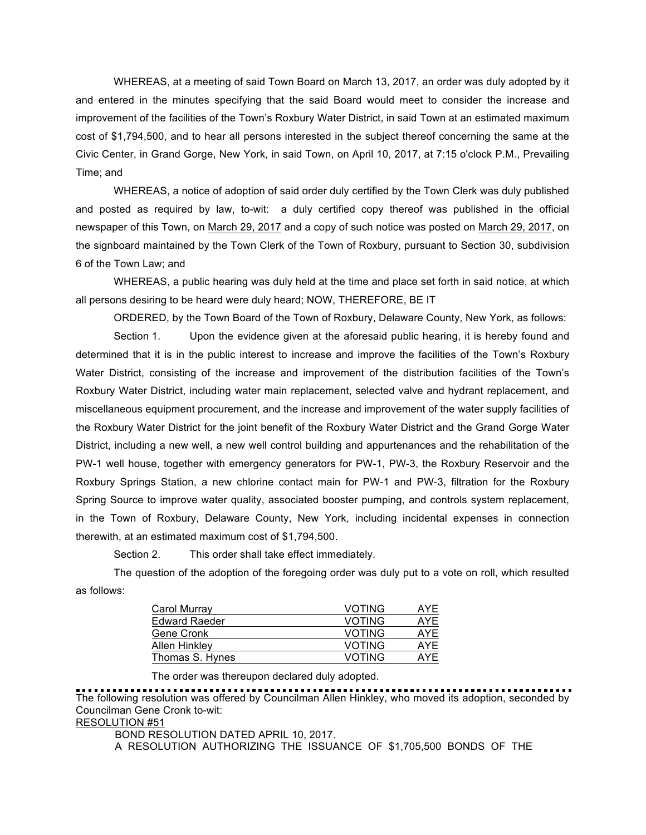WHEREAS, at a meeting of said Town Board on March 13, 2017, an order was duly adopted by it and entered in the minutes specifying that the said Board would meet to consider the increase and improvement of the facilities of the Town's Roxbury Water District, in said Town at an estimated maximum cost of \$1,794,500, and to hear all persons interested in the subject thereof concerning the same at the Civic Center, in Grand Gorge, New York, in said Town, on April 10, 2017, at 7:15 o'clock P.M., Prevailing Time; and

WHEREAS, a notice of adoption of said order duly certified by the Town Clerk was duly published and posted as required by law, to-wit: a duly certified copy thereof was published in the official newspaper of this Town, on March 29, 2017 and a copy of such notice was posted on March 29, 2017, on the signboard maintained by the Town Clerk of the Town of Roxbury, pursuant to Section 30, subdivision 6 of the Town Law; and

WHEREAS, a public hearing was duly held at the time and place set forth in said notice, at which all persons desiring to be heard were duly heard; NOW, THEREFORE, BE IT

ORDERED, by the Town Board of the Town of Roxbury, Delaware County, New York, as follows:

Section 1. Upon the evidence given at the aforesaid public hearing, it is hereby found and determined that it is in the public interest to increase and improve the facilities of the Town's Roxbury Water District, consisting of the increase and improvement of the distribution facilities of the Town's Roxbury Water District, including water main replacement, selected valve and hydrant replacement, and miscellaneous equipment procurement, and the increase and improvement of the water supply facilities of the Roxbury Water District for the joint benefit of the Roxbury Water District and the Grand Gorge Water District, including a new well, a new well control building and appurtenances and the rehabilitation of the PW-1 well house, together with emergency generators for PW-1, PW-3, the Roxbury Reservoir and the Roxbury Springs Station, a new chlorine contact main for PW-1 and PW-3, filtration for the Roxbury Spring Source to improve water quality, associated booster pumping, and controls system replacement, in the Town of Roxbury, Delaware County, New York, including incidental expenses in connection therewith, at an estimated maximum cost of \$1,794,500.

Section 2. This order shall take effect immediately.

The question of the adoption of the foregoing order was duly put to a vote on roll, which resulted as follows:

| <b>VOTING</b> | AYE |
|---------------|-----|
| <b>VOTING</b> | AYE |
| <b>VOTING</b> | AYE |
| <b>VOTING</b> | AYE |
| <b>VOTING</b> | AYE |
|               |     |

The order was thereupon declared duly adopted.

The following resolution was offered by Councilman Allen Hinkley, who moved its adoption, seconded by Councilman Gene Cronk to-wit:

# RESOLUTION #51

BOND RESOLUTION DATED APRIL 10, 2017.

A RESOLUTION AUTHORIZING THE ISSUANCE OF \$1,705,500 BONDS OF THE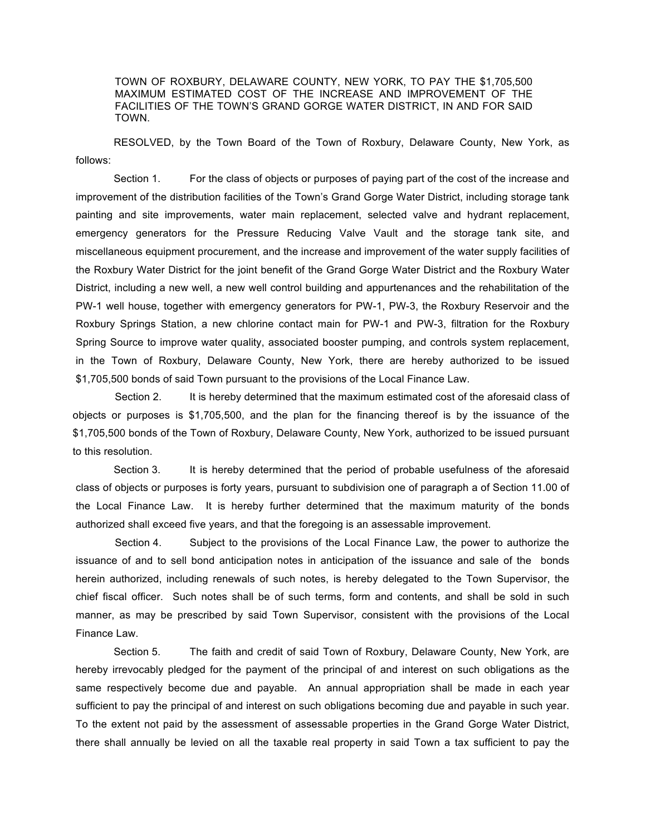TOWN OF ROXBURY, DELAWARE COUNTY, NEW YORK, TO PAY THE \$1,705,500 MAXIMUM ESTIMATED COST OF THE INCREASE AND IMPROVEMENT OF THE FACILITIES OF THE TOWN'S GRAND GORGE WATER DISTRICT, IN AND FOR SAID TOWN.

RESOLVED, by the Town Board of the Town of Roxbury, Delaware County, New York, as follows:

Section 1. For the class of objects or purposes of paying part of the cost of the increase and improvement of the distribution facilities of the Town's Grand Gorge Water District, including storage tank painting and site improvements, water main replacement, selected valve and hydrant replacement, emergency generators for the Pressure Reducing Valve Vault and the storage tank site, and miscellaneous equipment procurement, and the increase and improvement of the water supply facilities of the Roxbury Water District for the joint benefit of the Grand Gorge Water District and the Roxbury Water District, including a new well, a new well control building and appurtenances and the rehabilitation of the PW-1 well house, together with emergency generators for PW-1, PW-3, the Roxbury Reservoir and the Roxbury Springs Station, a new chlorine contact main for PW-1 and PW-3, filtration for the Roxbury Spring Source to improve water quality, associated booster pumping, and controls system replacement, in the Town of Roxbury, Delaware County, New York, there are hereby authorized to be issued \$1,705,500 bonds of said Town pursuant to the provisions of the Local Finance Law.

Section 2. It is hereby determined that the maximum estimated cost of the aforesaid class of objects or purposes is \$1,705,500, and the plan for the financing thereof is by the issuance of the \$1,705,500 bonds of the Town of Roxbury, Delaware County, New York, authorized to be issued pursuant to this resolution.

Section 3. It is hereby determined that the period of probable usefulness of the aforesaid class of objects or purposes is forty years, pursuant to subdivision one of paragraph a of Section 11.00 of the Local Finance Law. It is hereby further determined that the maximum maturity of the bonds authorized shall exceed five years, and that the foregoing is an assessable improvement.

Section 4. Subject to the provisions of the Local Finance Law, the power to authorize the issuance of and to sell bond anticipation notes in anticipation of the issuance and sale of the bonds herein authorized, including renewals of such notes, is hereby delegated to the Town Supervisor, the chief fiscal officer. Such notes shall be of such terms, form and contents, and shall be sold in such manner, as may be prescribed by said Town Supervisor, consistent with the provisions of the Local Finance Law.

Section 5. The faith and credit of said Town of Roxbury, Delaware County, New York, are hereby irrevocably pledged for the payment of the principal of and interest on such obligations as the same respectively become due and payable. An annual appropriation shall be made in each year sufficient to pay the principal of and interest on such obligations becoming due and payable in such year. To the extent not paid by the assessment of assessable properties in the Grand Gorge Water District, there shall annually be levied on all the taxable real property in said Town a tax sufficient to pay the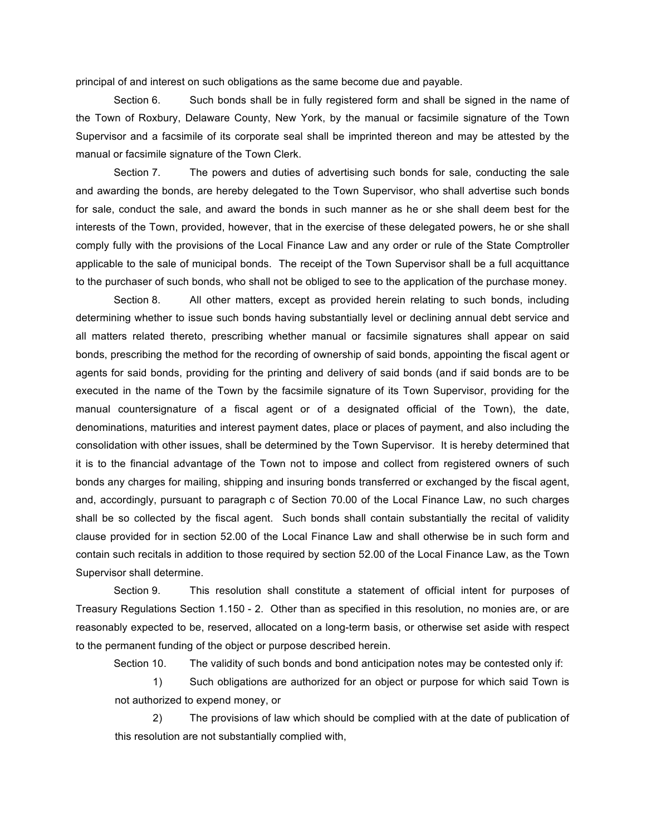principal of and interest on such obligations as the same become due and payable.

Section 6. Such bonds shall be in fully registered form and shall be signed in the name of the Town of Roxbury, Delaware County, New York, by the manual or facsimile signature of the Town Supervisor and a facsimile of its corporate seal shall be imprinted thereon and may be attested by the manual or facsimile signature of the Town Clerk.

Section 7. The powers and duties of advertising such bonds for sale, conducting the sale and awarding the bonds, are hereby delegated to the Town Supervisor, who shall advertise such bonds for sale, conduct the sale, and award the bonds in such manner as he or she shall deem best for the interests of the Town, provided, however, that in the exercise of these delegated powers, he or she shall comply fully with the provisions of the Local Finance Law and any order or rule of the State Comptroller applicable to the sale of municipal bonds. The receipt of the Town Supervisor shall be a full acquittance to the purchaser of such bonds, who shall not be obliged to see to the application of the purchase money.

Section 8. All other matters, except as provided herein relating to such bonds, including determining whether to issue such bonds having substantially level or declining annual debt service and all matters related thereto, prescribing whether manual or facsimile signatures shall appear on said bonds, prescribing the method for the recording of ownership of said bonds, appointing the fiscal agent or agents for said bonds, providing for the printing and delivery of said bonds (and if said bonds are to be executed in the name of the Town by the facsimile signature of its Town Supervisor, providing for the manual countersignature of a fiscal agent or of a designated official of the Town), the date, denominations, maturities and interest payment dates, place or places of payment, and also including the consolidation with other issues, shall be determined by the Town Supervisor. It is hereby determined that it is to the financial advantage of the Town not to impose and collect from registered owners of such bonds any charges for mailing, shipping and insuring bonds transferred or exchanged by the fiscal agent, and, accordingly, pursuant to paragraph c of Section 70.00 of the Local Finance Law, no such charges shall be so collected by the fiscal agent. Such bonds shall contain substantially the recital of validity clause provided for in section 52.00 of the Local Finance Law and shall otherwise be in such form and contain such recitals in addition to those required by section 52.00 of the Local Finance Law, as the Town Supervisor shall determine.

Section 9. This resolution shall constitute a statement of official intent for purposes of Treasury Regulations Section 1.150 - 2. Other than as specified in this resolution, no monies are, or are reasonably expected to be, reserved, allocated on a long-term basis, or otherwise set aside with respect to the permanent funding of the object or purpose described herein.

Section 10. The validity of such bonds and bond anticipation notes may be contested only if:

1) Such obligations are authorized for an object or purpose for which said Town is not authorized to expend money, or

2) The provisions of law which should be complied with at the date of publication of this resolution are not substantially complied with,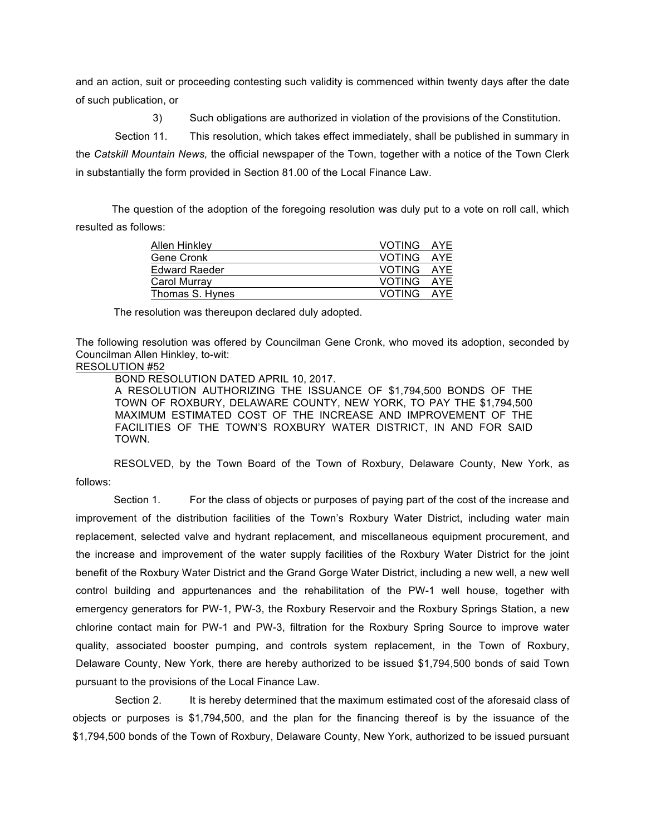and an action, suit or proceeding contesting such validity is commenced within twenty days after the date of such publication, or

3) Such obligations are authorized in violation of the provisions of the Constitution.

Section 11. This resolution, which takes effect immediately, shall be published in summary in the *Catskill Mountain News,* the official newspaper of the Town, together with a notice of the Town Clerk in substantially the form provided in Section 81.00 of the Local Finance Law.

The question of the adoption of the foregoing resolution was duly put to a vote on roll call, which resulted as follows:

| Allen Hinkley        | VOTING AYE |  |
|----------------------|------------|--|
| Gene Cronk           | VOTING AYE |  |
| <b>Edward Raeder</b> | VOTING AYE |  |
| Carol Murray         | VOTING AYE |  |
| Thomas S. Hynes      | VOTING AYE |  |

The resolution was thereupon declared duly adopted.

The following resolution was offered by Councilman Gene Cronk, who moved its adoption, seconded by Councilman Allen Hinkley, to-wit:

#### RESOLUTION #52

BOND RESOLUTION DATED APRIL 10, 2017.

A RESOLUTION AUTHORIZING THE ISSUANCE OF \$1,794,500 BONDS OF THE TOWN OF ROXBURY, DELAWARE COUNTY, NEW YORK, TO PAY THE \$1,794,500 MAXIMUM ESTIMATED COST OF THE INCREASE AND IMPROVEMENT OF THE FACILITIES OF THE TOWN'S ROXBURY WATER DISTRICT, IN AND FOR SAID TOWN.

RESOLVED, by the Town Board of the Town of Roxbury, Delaware County, New York, as follows:

Section 1. For the class of objects or purposes of paying part of the cost of the increase and improvement of the distribution facilities of the Town's Roxbury Water District, including water main replacement, selected valve and hydrant replacement, and miscellaneous equipment procurement, and the increase and improvement of the water supply facilities of the Roxbury Water District for the joint benefit of the Roxbury Water District and the Grand Gorge Water District, including a new well, a new well control building and appurtenances and the rehabilitation of the PW-1 well house, together with emergency generators for PW-1, PW-3, the Roxbury Reservoir and the Roxbury Springs Station, a new chlorine contact main for PW-1 and PW-3, filtration for the Roxbury Spring Source to improve water quality, associated booster pumping, and controls system replacement, in the Town of Roxbury, Delaware County, New York, there are hereby authorized to be issued \$1,794,500 bonds of said Town pursuant to the provisions of the Local Finance Law.

Section 2. It is hereby determined that the maximum estimated cost of the aforesaid class of objects or purposes is \$1,794,500, and the plan for the financing thereof is by the issuance of the \$1,794,500 bonds of the Town of Roxbury, Delaware County, New York, authorized to be issued pursuant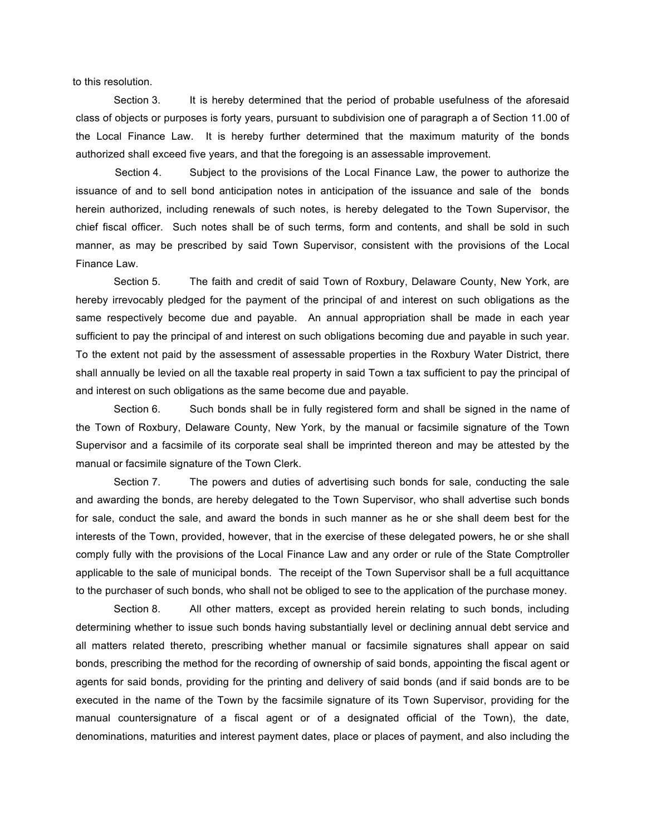to this resolution.

Section 3. It is hereby determined that the period of probable usefulness of the aforesaid class of objects or purposes is forty years, pursuant to subdivision one of paragraph a of Section 11.00 of the Local Finance Law. It is hereby further determined that the maximum maturity of the bonds authorized shall exceed five years, and that the foregoing is an assessable improvement.

Section 4. Subject to the provisions of the Local Finance Law, the power to authorize the issuance of and to sell bond anticipation notes in anticipation of the issuance and sale of the bonds herein authorized, including renewals of such notes, is hereby delegated to the Town Supervisor, the chief fiscal officer. Such notes shall be of such terms, form and contents, and shall be sold in such manner, as may be prescribed by said Town Supervisor, consistent with the provisions of the Local Finance Law.

Section 5. The faith and credit of said Town of Roxbury, Delaware County, New York, are hereby irrevocably pledged for the payment of the principal of and interest on such obligations as the same respectively become due and payable. An annual appropriation shall be made in each year sufficient to pay the principal of and interest on such obligations becoming due and payable in such year. To the extent not paid by the assessment of assessable properties in the Roxbury Water District, there shall annually be levied on all the taxable real property in said Town a tax sufficient to pay the principal of and interest on such obligations as the same become due and payable.

Section 6. Such bonds shall be in fully registered form and shall be signed in the name of the Town of Roxbury, Delaware County, New York, by the manual or facsimile signature of the Town Supervisor and a facsimile of its corporate seal shall be imprinted thereon and may be attested by the manual or facsimile signature of the Town Clerk.

Section 7. The powers and duties of advertising such bonds for sale, conducting the sale and awarding the bonds, are hereby delegated to the Town Supervisor, who shall advertise such bonds for sale, conduct the sale, and award the bonds in such manner as he or she shall deem best for the interests of the Town, provided, however, that in the exercise of these delegated powers, he or she shall comply fully with the provisions of the Local Finance Law and any order or rule of the State Comptroller applicable to the sale of municipal bonds. The receipt of the Town Supervisor shall be a full acquittance to the purchaser of such bonds, who shall not be obliged to see to the application of the purchase money.

Section 8. All other matters, except as provided herein relating to such bonds, including determining whether to issue such bonds having substantially level or declining annual debt service and all matters related thereto, prescribing whether manual or facsimile signatures shall appear on said bonds, prescribing the method for the recording of ownership of said bonds, appointing the fiscal agent or agents for said bonds, providing for the printing and delivery of said bonds (and if said bonds are to be executed in the name of the Town by the facsimile signature of its Town Supervisor, providing for the manual countersignature of a fiscal agent or of a designated official of the Town), the date, denominations, maturities and interest payment dates, place or places of payment, and also including the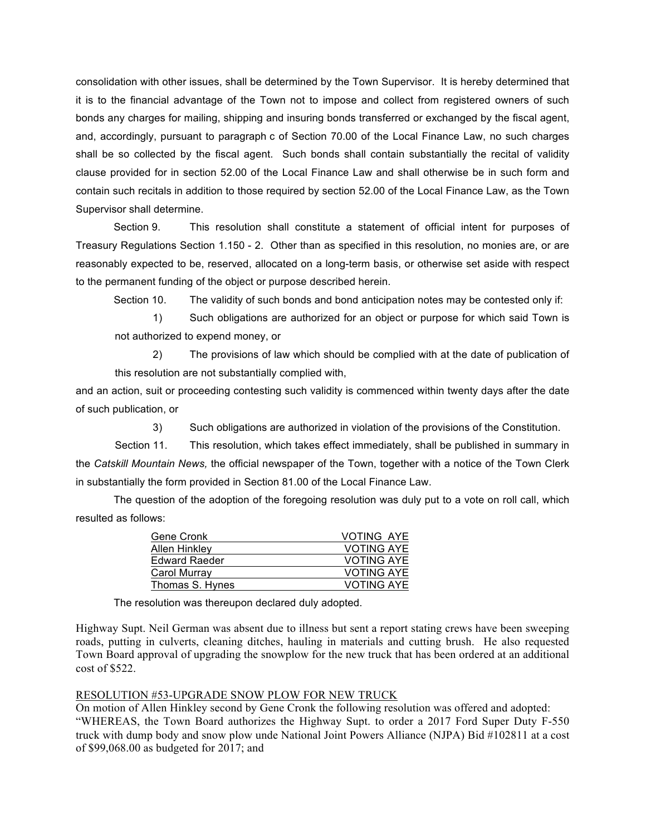consolidation with other issues, shall be determined by the Town Supervisor. It is hereby determined that it is to the financial advantage of the Town not to impose and collect from registered owners of such bonds any charges for mailing, shipping and insuring bonds transferred or exchanged by the fiscal agent, and, accordingly, pursuant to paragraph c of Section 70.00 of the Local Finance Law, no such charges shall be so collected by the fiscal agent. Such bonds shall contain substantially the recital of validity clause provided for in section 52.00 of the Local Finance Law and shall otherwise be in such form and contain such recitals in addition to those required by section 52.00 of the Local Finance Law, as the Town Supervisor shall determine.

Section 9. This resolution shall constitute a statement of official intent for purposes of Treasury Regulations Section 1.150 - 2. Other than as specified in this resolution, no monies are, or are reasonably expected to be, reserved, allocated on a long-term basis, or otherwise set aside with respect to the permanent funding of the object or purpose described herein.

Section 10. The validity of such bonds and bond anticipation notes may be contested only if:

1) Such obligations are authorized for an object or purpose for which said Town is not authorized to expend money, or

2) The provisions of law which should be complied with at the date of publication of this resolution are not substantially complied with,

and an action, suit or proceeding contesting such validity is commenced within twenty days after the date of such publication, or

3) Such obligations are authorized in violation of the provisions of the Constitution.

Section 11. This resolution, which takes effect immediately, shall be published in summary in the *Catskill Mountain News,* the official newspaper of the Town, together with a notice of the Town Clerk in substantially the form provided in Section 81.00 of the Local Finance Law.

The question of the adoption of the foregoing resolution was duly put to a vote on roll call, which resulted as follows:

| Gene Cronk           | <b>VOTING AYE</b> |
|----------------------|-------------------|
| <b>Allen Hinkley</b> | <b>VOTING AYE</b> |
| <b>Edward Raeder</b> | <b>VOTING AYE</b> |
| Carol Murray         | <b>VOTING AYE</b> |
| Thomas S. Hynes      | <b>VOTING AYE</b> |

The resolution was thereupon declared duly adopted.

Highway Supt. Neil German was absent due to illness but sent a report stating crews have been sweeping roads, putting in culverts, cleaning ditches, hauling in materials and cutting brush. He also requested Town Board approval of upgrading the snowplow for the new truck that has been ordered at an additional cost of \$522.

### RESOLUTION #53-UPGRADE SNOW PLOW FOR NEW TRUCK

On motion of Allen Hinkley second by Gene Cronk the following resolution was offered and adopted: "WHEREAS, the Town Board authorizes the Highway Supt. to order a 2017 Ford Super Duty F-550 truck with dump body and snow plow unde National Joint Powers Alliance (NJPA) Bid #102811 at a cost of \$99,068.00 as budgeted for 2017; and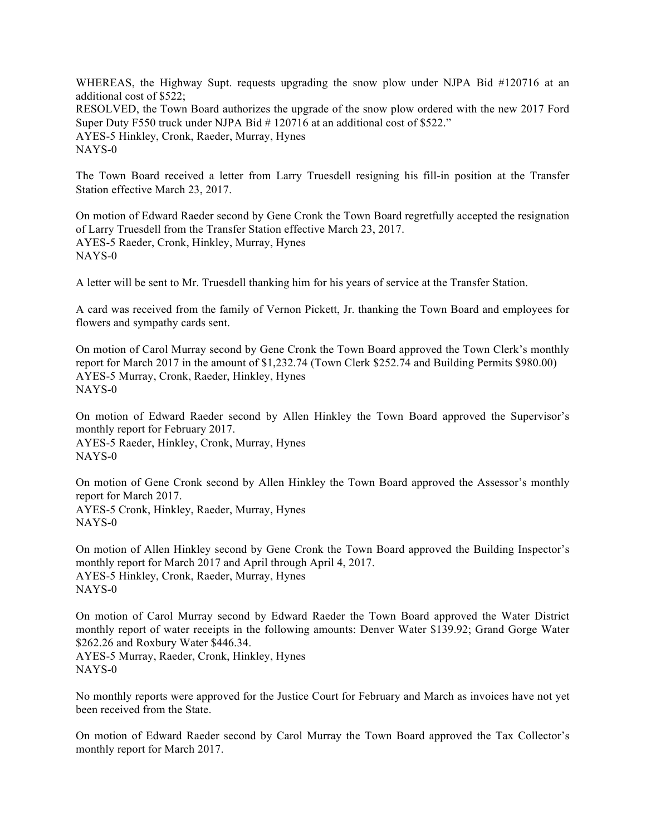WHEREAS, the Highway Supt. requests upgrading the snow plow under NJPA Bid #120716 at an additional cost of \$522; RESOLVED, the Town Board authorizes the upgrade of the snow plow ordered with the new 2017 Ford Super Duty F550 truck under NJPA Bid # 120716 at an additional cost of \$522." AYES-5 Hinkley, Cronk, Raeder, Murray, Hynes NAYS-0

The Town Board received a letter from Larry Truesdell resigning his fill-in position at the Transfer Station effective March 23, 2017.

On motion of Edward Raeder second by Gene Cronk the Town Board regretfully accepted the resignation of Larry Truesdell from the Transfer Station effective March 23, 2017. AYES-5 Raeder, Cronk, Hinkley, Murray, Hynes NAYS-0

A letter will be sent to Mr. Truesdell thanking him for his years of service at the Transfer Station.

A card was received from the family of Vernon Pickett, Jr. thanking the Town Board and employees for flowers and sympathy cards sent.

On motion of Carol Murray second by Gene Cronk the Town Board approved the Town Clerk's monthly report for March 2017 in the amount of \$1,232.74 (Town Clerk \$252.74 and Building Permits \$980.00) AYES-5 Murray, Cronk, Raeder, Hinkley, Hynes NAYS-0

On motion of Edward Raeder second by Allen Hinkley the Town Board approved the Supervisor's monthly report for February 2017. AYES-5 Raeder, Hinkley, Cronk, Murray, Hynes NAYS-0

On motion of Gene Cronk second by Allen Hinkley the Town Board approved the Assessor's monthly report for March 2017. AYES-5 Cronk, Hinkley, Raeder, Murray, Hynes NAYS-0

On motion of Allen Hinkley second by Gene Cronk the Town Board approved the Building Inspector's monthly report for March 2017 and April through April 4, 2017. AYES-5 Hinkley, Cronk, Raeder, Murray, Hynes NAYS-0

On motion of Carol Murray second by Edward Raeder the Town Board approved the Water District monthly report of water receipts in the following amounts: Denver Water \$139.92; Grand Gorge Water \$262.26 and Roxbury Water \$446.34. AYES-5 Murray, Raeder, Cronk, Hinkley, Hynes NAYS-0

No monthly reports were approved for the Justice Court for February and March as invoices have not yet been received from the State.

On motion of Edward Raeder second by Carol Murray the Town Board approved the Tax Collector's monthly report for March 2017.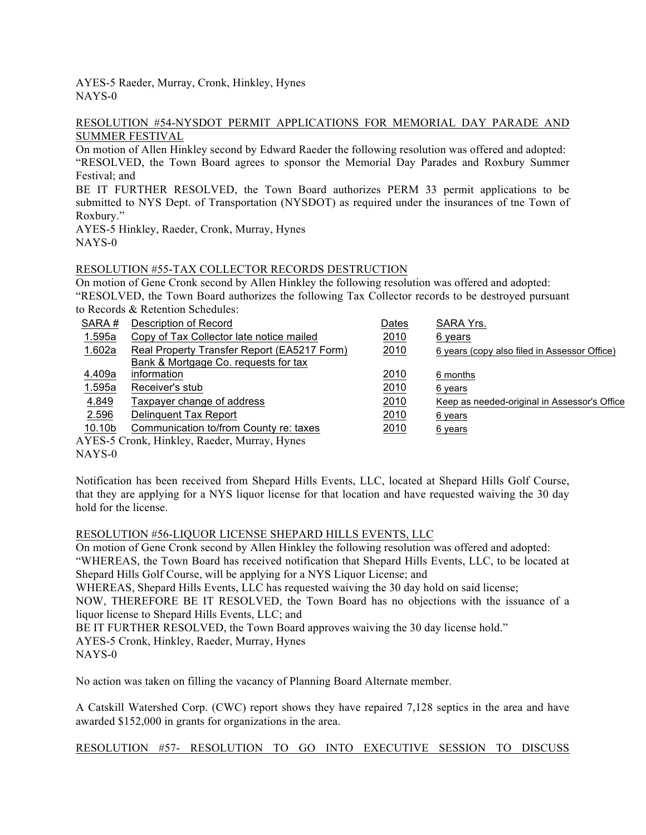AYES-5 Raeder, Murray, Cronk, Hinkley, Hynes NAYS-0

#### RESOLUTION #54-NYSDOT PERMIT APPLICATIONS FOR MEMORIAL DAY PARADE AND SUMMER FESTIVAL

On motion of Allen Hinkley second by Edward Raeder the following resolution was offered and adopted: "RESOLVED, the Town Board agrees to sponsor the Memorial Day Parades and Roxbury Summer Festival; and

BE IT FURTHER RESOLVED, the Town Board authorizes PERM 33 permit applications to be submitted to NYS Dept. of Transportation (NYSDOT) as required under the insurances of tne Town of Roxbury."

AYES-5 Hinkley, Raeder, Cronk, Murray, Hynes NAYS-0

## RESOLUTION #55-TAX COLLECTOR RECORDS DESTRUCTION

On motion of Gene Cronk second by Allen Hinkley the following resolution was offered and adopted: "RESOLVED, the Town Board authorizes the following Tax Collector records to be destroyed pursuant to Records & Retention Schedules:

| SARA#              | Description of Record                        | Dates | SARA Yrs.                                    |
|--------------------|----------------------------------------------|-------|----------------------------------------------|
| 1.595a             | Copy of Tax Collector late notice mailed     | 2010  | 6 years                                      |
| 1.602a             | Real Property Transfer Report (EA5217 Form)  | 2010  | 6 years (copy also filed in Assessor Office) |
|                    | Bank & Mortgage Co. requests for tax         |       |                                              |
| 4.409a             | information                                  | 2010  | 6 months                                     |
| 1.595a             | Receiver's stub                              | 2010  | 6 years                                      |
| 4.849              | Taxpayer change of address                   | 2010  | Keep as needed-original in Assessor's Office |
| 2.596              | Delinguent Tax Report                        | 2010  | 6 years                                      |
| 10.10 <sub>b</sub> | Communication to/from County re: taxes       | 2010  | 6 years                                      |
|                    | AYES-5 Cronk, Hinkley, Raeder, Murray, Hynes |       |                                              |

NAYS-0

Notification has been received from Shepard Hills Events, LLC, located at Shepard Hills Golf Course, that they are applying for a NYS liquor license for that location and have requested waiving the 30 day hold for the license.

### RESOLUTION #56-LIQUOR LICENSE SHEPARD HILLS EVENTS, LLC

On motion of Gene Cronk second by Allen Hinkley the following resolution was offered and adopted: "WHEREAS, the Town Board has received notification that Shepard Hills Events, LLC, to be located at Shepard Hills Golf Course, will be applying for a NYS Liquor License; and

WHEREAS, Shepard Hills Events, LLC has requested waiving the 30 day hold on said license;

NOW, THEREFORE BE IT RESOLVED, the Town Board has no objections with the issuance of a liquor license to Shepard Hills Events, LLC; and

BE IT FURTHER RESOLVED, the Town Board approves waiving the 30 day license hold."

AYES-5 Cronk, Hinkley, Raeder, Murray, Hynes

NAYS-0

No action was taken on filling the vacancy of Planning Board Alternate member.

A Catskill Watershed Corp. (CWC) report shows they have repaired 7,128 septics in the area and have awarded \$152,000 in grants for organizations in the area.

## RESOLUTION #57- RESOLUTION TO GO INTO EXECUTIVE SESSION TO DISCUSS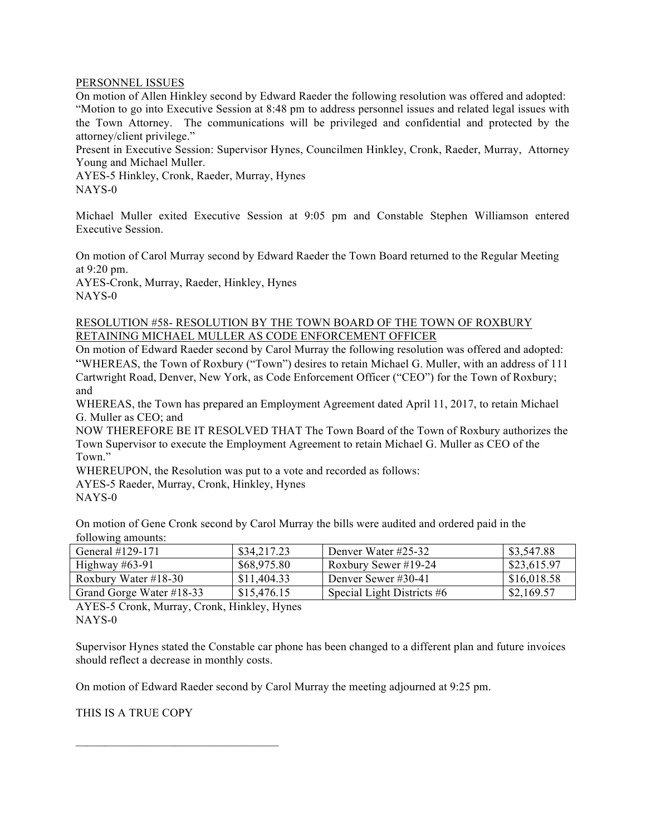#### PERSONNEL ISSUES

On motion of Allen Hinkley second by Edward Raeder the following resolution was offered and adopted: "Motion to go into Executive Session at 8:48 pm to address personnel issues and related legal issues with the Town Attorney. The communications will be privileged and confidential and protected by the attorney/client privilege."

Present in Executive Session: Supervisor Hynes, Councilmen Hinkley, Cronk, Raeder, Murray, Attorney Young and Michael Muller.

AYES-5 Hinkley, Cronk, Raeder, Murray, Hynes NAYS-0

Michael Muller exited Executive Session at 9:05 pm and Constable Stephen Williamson entered Executive Session.

On motion of Carol Murray second by Edward Raeder the Town Board returned to the Regular Meeting at 9:20 pm.

AYES-Cronk, Murray, Raeder, Hinkley, Hynes NAYS-0

#### RESOLUTION #58- RESOLUTION BY THE TOWN BOARD OF THE TOWN OF ROXBURY RETAINING MICHAEL MULLER AS CODE ENFORCEMENT OFFICER

On motion of Edward Raeder second by Carol Murray the following resolution was offered and adopted: "WHEREAS, the Town of Roxbury ("Town") desires to retain Michael G. Muller, with an address of 111 Cartwright Road, Denver, New York, as Code Enforcement Officer ("CEO") for the Town of Roxbury; and

WHEREAS, the Town has prepared an Employment Agreement dated April 11, 2017, to retain Michael G. Muller as CEO; and

NOW THEREFORE BE IT RESOLVED THAT The Town Board of the Town of Roxbury authorizes the Town Supervisor to execute the Employment Agreement to retain Michael G. Muller as CEO of the Town."

WHEREUPON, the Resolution was put to a vote and recorded as follows:

AYES-5 Raeder, Murray, Cronk, Hinkley, Hynes

NAYS-0

On motion of Gene Cronk second by Carol Murray the bills were audited and ordered paid in the following amounts:

| General $\#129-171$      | \$34,217.23 | Denver Water #25-32          | \$3,547.88  |
|--------------------------|-------------|------------------------------|-------------|
| Highway $#63-91$         | \$68,975.80 | Roxbury Sewer #19-24         | \$23,615.97 |
| Roxbury Water #18-30     | \$11,404.33 | Denver Sewer #30-41          | \$16,018.58 |
| Grand Gorge Water #18-33 | \$15,476.15 | Special Light Districts $#6$ | \$2,169.57  |

AYES-5 Cronk, Murray, Cronk, Hinkley, Hynes NAYS-0

Supervisor Hynes stated the Constable car phone has been changed to a different plan and future invoices should reflect a decrease in monthly costs.

On motion of Edward Raeder second by Carol Murray the meeting adjourned at 9:25 pm.

THIS IS A TRUE COPY